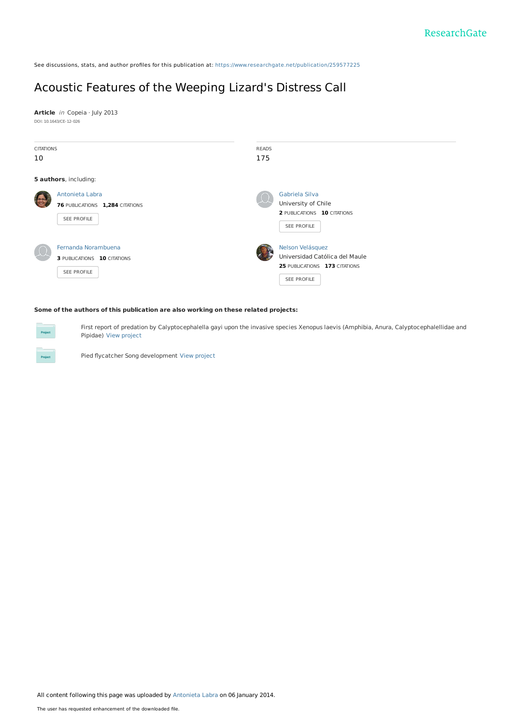See discussions, stats, and author profiles for this publication at: [https://www.researchgate.net/publication/259577225](https://www.researchgate.net/publication/259577225_Acoustic_Features_of_the_Weeping_Lizard%27s_Distress_Call?enrichId=rgreq-97a9c1f347676a531fbe85827e2b0061-XXX&enrichSource=Y292ZXJQYWdlOzI1OTU3NzIyNTtBUzoxMDE1NjE3OTU2MTI2NzNAMTQwMTIyNTYyNzM3MQ%3D%3D&el=1_x_2&_esc=publicationCoverPdf)

# Acoustic Features of the [Weeping](https://www.researchgate.net/publication/259577225_Acoustic_Features_of_the_Weeping_Lizard%27s_Distress_Call?enrichId=rgreq-97a9c1f347676a531fbe85827e2b0061-XXX&enrichSource=Y292ZXJQYWdlOzI1OTU3NzIyNTtBUzoxMDE1NjE3OTU2MTI2NzNAMTQwMTIyNTYyNzM3MQ%3D%3D&el=1_x_3&_esc=publicationCoverPdf) Lizard's Distress Call

**Article** in Copeia · July 2013 DOI: 10.1643/CE-12-026

|                                    | <b>READS</b><br>175                                                     |
|------------------------------------|-------------------------------------------------------------------------|
|                                    |                                                                         |
|                                    |                                                                         |
| Antonieta Labra                    | Gabriela Silva                                                          |
| 76 PUBLICATIONS 1,284 CITATIONS    | University of Chile                                                     |
|                                    | 2 PUBLICATIONS 10 CITATIONS                                             |
|                                    | SEE PROFILE                                                             |
|                                    |                                                                         |
| Fernanda Norambuena                | Nelson Velásquez                                                        |
| <b>3 PUBLICATIONS 10 CITATIONS</b> | Universidad Católica del Maule                                          |
|                                    | 25 PUBLICATIONS 173 CITATIONS                                           |
|                                    | SEE PROFILE                                                             |
|                                    |                                                                         |
|                                    | <b>CITATIONS</b><br>5 authors, including:<br>SEE PROFILE<br>SEE PROFILE |

**Some of the authors of this publication are also working on these related projects:**

First report of predation by Calyptocephalella gayi upon the invasive species Xenopus laevis (Amphibia, Anura, Calyptocephalellidae and Pipidae) View [project](https://www.researchgate.net/project/First-report-of-predation-by-Calyptocephalella-gayi-upon-the-invasive-species-Xenopus-laevis-Amphibia-Anura-Calyptocephalellidae-and-Pipidae?enrichId=rgreq-97a9c1f347676a531fbe85827e2b0061-XXX&enrichSource=Y292ZXJQYWdlOzI1OTU3NzIyNTtBUzoxMDE1NjE3OTU2MTI2NzNAMTQwMTIyNTYyNzM3MQ%3D%3D&el=1_x_9&_esc=publicationCoverPdf)

Pied flycatcher Song development View [project](https://www.researchgate.net/project/Pied-flycatcher-Song-development?enrichId=rgreq-97a9c1f347676a531fbe85827e2b0061-XXX&enrichSource=Y292ZXJQYWdlOzI1OTU3NzIyNTtBUzoxMDE1NjE3OTU2MTI2NzNAMTQwMTIyNTYyNzM3MQ%3D%3D&el=1_x_9&_esc=publicationCoverPdf)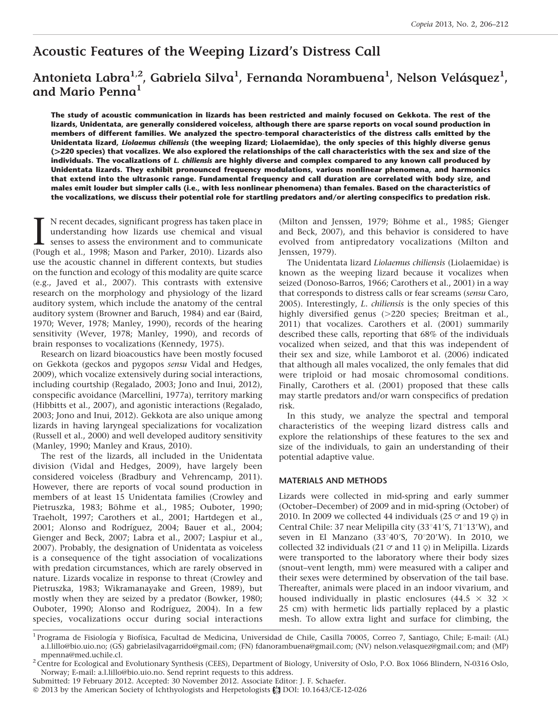# Acoustic Features of the Weeping Lizard's Distress Call

# Antonieta Labra $^{1,2}$ , Gabriela Silva $^{1}$ , Fernanda Norambuena $^{1}$ , Nelson Velásquez $^{1}$ , and Mario Penna<sup>1</sup>

The study of acoustic communication in lizards has been restricted and mainly focused on Gekkota. The rest of the lizards, Unidentata, are generally considered voiceless, although there are sparse reports on vocal sound production in members of different families. We analyzed the spectro-temporal characteristics of the distress calls emitted by the Unidentata lizard, Liolaemus chiliensis (the weeping lizard; Liolaemidae), the only species of this highly diverse genus (>220 species) that vocalizes. We also explored the relationships of the call characteristics with the sex and size of the individuals. The vocalizations of L. chiliensis are highly diverse and complex compared to any known call produced by Unidentata lizards. They exhibit pronounced frequency modulations, various nonlinear phenomena, and harmonics that extend into the ultrasonic range. Fundamental frequency and call duration are correlated with body size, and males emit louder but simpler calls (i.e., with less nonlinear phenomena) than females. Based on the characteristics of the vocalizations, we discuss their potential role for startling predators and/or alerting conspecifics to predation risk.

I N recent decades, significant progress has taken place in understanding how lizards use chemical and visual senses to assess the environment and to communicate (Pough et al., 1998; Mason and Parker, 2010). Lizards also N recent decades, significant progress has taken place in understanding how lizards use chemical and visual senses to assess the environment and to communicate use the acoustic channel in different contexts, but studies on the function and ecology of this modality are quite scarce (e.g., Javed et al., 2007). This contrasts with extensive research on the morphology and physiology of the lizard auditory system, which include the anatomy of the central auditory system (Browner and Baruch, 1984) and ear (Baird, 1970; Wever, 1978; Manley, 1990), records of the hearing sensitivity (Wever, 1978; Manley, 1990), and records of brain responses to vocalizations (Kennedy, 1975).

Research on lizard bioacoustics have been mostly focused on Gekkota (geckos and pygopos sensu Vidal and Hedges, 2009), which vocalize extensively during social interactions, including courtship (Regalado, 2003; Jono and Inui, 2012), conspecific avoidance (Marcellini, 1977a), territory marking (Hibbitts et al., 2007), and agonistic interactions (Regalado, 2003; Jono and Inui, 2012). Gekkota are also unique among lizards in having laryngeal specializations for vocalization (Russell et al., 2000) and well developed auditory sensitivity (Manley, 1990; Manley and Kraus, 2010).

The rest of the lizards, all included in the Unidentata division (Vidal and Hedges, 2009), have largely been considered voiceless (Bradbury and Vehrencamp, 2011). However, there are reports of vocal sound production in members of at least 15 Unidentata families (Crowley and Pietruszka, 1983; Böhme et al., 1985; Ouboter, 1990; Traeholt, 1997; Carothers et al., 2001; Hartdegen et al., 2001; Alonso and Rodríguez, 2004; Bauer et al., 2004; Gienger and Beck, 2007; Labra et al., 2007; Laspiur et al., 2007). Probably, the designation of Unidentata as voiceless is a consequence of the tight association of vocalizations with predation circumstances, which are rarely observed in nature. Lizards vocalize in response to threat (Crowley and Pietruszka, 1983; Wikramanayake and Green, 1989), but mostly when they are seized by a predator (Bowker, 1980; Ouboter, 1990; Alonso and Rodríguez, 2004). In a few species, vocalizations occur during social interactions (Milton and Jenssen, 1979; Böhme et al., 1985; Gienger and Beck, 2007), and this behavior is considered to have evolved from antipredatory vocalizations (Milton and Jenssen, 1979).

The Unidentata lizard Liolaemus chiliensis (Liolaemidae) is known as the weeping lizard because it vocalizes when seized (Donoso-Barros, 1966; Carothers et al., 2001) in a way that corresponds to distress calls or fear screams (sensu Caro, 2005). Interestingly, L. chiliensis is the only species of this highly diversified genus  $(>220$  species; Breitman et al., 2011) that vocalizes. Carothers et al. (2001) summarily described these calls, reporting that 68% of the individuals vocalized when seized, and that this was independent of their sex and size, while Lamborot et al. (2006) indicated that although all males vocalized, the only females that did were triploid or had mosaic chromosomal conditions. Finally, Carothers et al. (2001) proposed that these calls may startle predators and/or warn conspecifics of predation risk.

In this study, we analyze the spectral and temporal characteristics of the weeping lizard distress calls and explore the relationships of these features to the sex and size of the individuals, to gain an understanding of their potential adaptive value.

# MATERIALS AND METHODS

Lizards were collected in mid-spring and early summer (October–December) of 2009 and in mid-spring (October) of 2010. In 2009 we collected 44 individuals (25  $\sigma$  and 19  $\phi$ ) in Central Chile: 37 near Melipilla city (33 $\degree$ 41'S, 71 $\degree$ 13'W), and seven in El Manzano (33°40'S, 70°20'W). In 2010, we collected 32 individuals (21  $\sigma$  and 11  $\phi$ ) in Melipilla. Lizards were transported to the laboratory where their body sizes (snout–vent length, mm) were measured with a caliper and their sexes were determined by observation of the tail base. Thereafter, animals were placed in an indoor vivarium, and housed individually in plastic enclosures (44.5  $\times$  32  $\times$ 25 cm) with hermetic lids partially replaced by a plastic mesh. To allow extra light and surface for climbing, the

<sup>&</sup>lt;sup>1</sup> Programa de Fisiología y Biofísica, Facultad de Medicina, Universidad de Chile, Casilla 70005, Correo 7, Santiago, Chile; E-mail: (AL) a.l.lillo@bio.uio.no; (GS) gabrielasilvagarrido@gmail.com; (FN) fdanorambuena@gmail.com; (NV) nelson.velasquez@gmail.com; and (MP) mpenna@med.uchile.cl. 2 Centre for Ecological and Evolutionary Synthesis (CEES), Department of Biology, University of Oslo, P.O. Box 1066 Blindern, N-0316 Oslo,

Norway; E-mail: a.l.lillo@bio.uio.no. Send reprint requests to this address.

Submitted: 19 February 2012. Accepted: 30 November 2012. Associate Editor: J. F. Schaefer.

<sup>© 2013</sup> by the American Society of Ichthyologists and Herpetologists @ DOI: 10.1643/CE-12-026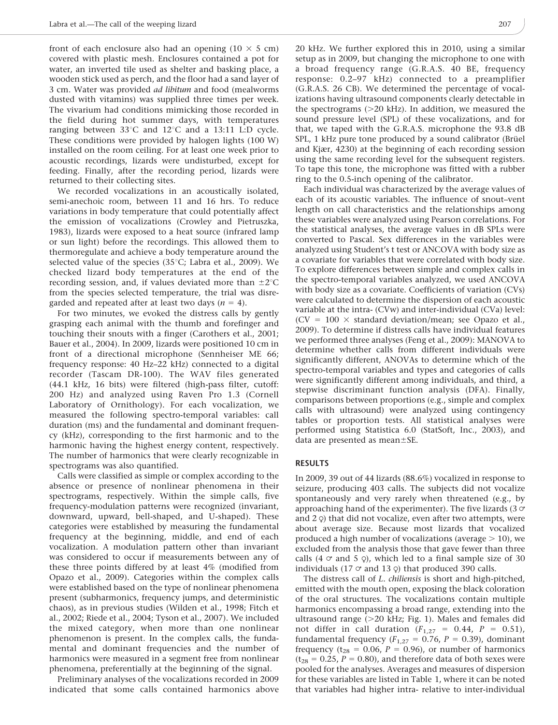front of each enclosure also had an opening  $(10 \times 5 \text{ cm})$ covered with plastic mesh. Enclosures contained a pot for water, an inverted tile used as shelter and basking place, a wooden stick used as perch, and the floor had a sand layer of 3 cm. Water was provided ad libitum and food (mealworms dusted with vitamins) was supplied three times per week. The vivarium had conditions mimicking those recorded in the field during hot summer days, with temperatures ranging between  $33^{\circ}$ C and  $12^{\circ}$ C and a 13:11 L:D cycle. These conditions were provided by halogen lights (100 W) installed on the room ceiling. For at least one week prior to acoustic recordings, lizards were undisturbed, except for feeding. Finally, after the recording period, lizards were returned to their collecting sites.

We recorded vocalizations in an acoustically isolated, semi-anechoic room, between 11 and 16 hrs. To reduce variations in body temperature that could potentially affect the emission of vocalizations (Crowley and Pietruszka, 1983), lizards were exposed to a heat source (infrared lamp or sun light) before the recordings. This allowed them to thermoregulate and achieve a body temperature around the selected value of the species (35 $°C$ ; Labra et al., 2009). We checked lizard body temperatures at the end of the recording session, and, if values deviated more than  $\pm 2^{\circ}C$ from the species selected temperature, the trial was disregarded and repeated after at least two days ( $n = 4$ ).

For two minutes, we evoked the distress calls by gently grasping each animal with the thumb and forefinger and touching their snouts with a finger (Carothers et al., 2001; Bauer et al., 2004). In 2009, lizards were positioned 10 cm in front of a directional microphone (Sennheiser ME 66; frequency response: 40 Hz–22 kHz) connected to a digital recorder (Tascam DR-100). The WAV files generated (44.1 kHz, 16 bits) were filtered (high-pass filter, cutoff: 200 Hz) and analyzed using Raven Pro 1.3 (Cornell Laboratory of Ornithology). For each vocalization, we measured the following spectro-temporal variables: call duration (ms) and the fundamental and dominant frequency (kHz), corresponding to the first harmonic and to the harmonic having the highest energy content, respectively. The number of harmonics that were clearly recognizable in spectrograms was also quantified.

Calls were classified as simple or complex according to the absence or presence of nonlinear phenomena in their spectrograms, respectively. Within the simple calls, five frequency-modulation patterns were recognized (invariant, downward, upward, bell-shaped, and U-shaped). These categories were established by measuring the fundamental frequency at the beginning, middle, and end of each vocalization. A modulation pattern other than invariant was considered to occur if measurements between any of these three points differed by at least 4% (modified from Opazo et al., 2009). Categories within the complex calls were established based on the type of nonlinear phenomena present (subharmonics, frequency jumps, and deterministic chaos), as in previous studies (Wilden et al., 1998; Fitch et al., 2002; Riede et al., 2004; Tyson et al., 2007). We included the mixed category, when more than one nonlinear phenomenon is present. In the complex calls, the fundamental and dominant frequencies and the number of harmonics were measured in a segment free from nonlinear phenomena, preferentially at the beginning of the signal.

Preliminary analyses of the vocalizations recorded in 2009 indicated that some calls contained harmonics above

20 kHz. We further explored this in 2010, using a similar setup as in 2009, but changing the microphone to one with a broad frequency range (G.R.A.S. 40 BE, frequency response: 0.2–97 kHz) connected to a preamplifier (G.R.A.S. 26 CB). We determined the percentage of vocalizations having ultrasound components clearly detectable in the spectrograms  $(>=20 \text{ kHz})$ . In addition, we measured the sound pressure level (SPL) of these vocalizations, and for that, we taped with the G.R.A.S. microphone the 93.8 dB SPL, 1 kHz pure tone produced by a sound calibrator (Brüel and Kjær, 4230) at the beginning of each recording session using the same recording level for the subsequent registers. To tape this tone, the microphone was fitted with a rubber ring to the 0.5-inch opening of the calibrator.

Each individual was characterized by the average values of each of its acoustic variables. The influence of snout–vent length on call characteristics and the relationships among these variables were analyzed using Pearson correlations. For the statistical analyses, the average values in dB SPLs were converted to Pascal. Sex differences in the variables were analyzed using Student's t test or ANCOVA with body size as a covariate for variables that were correlated with body size. To explore differences between simple and complex calls in the spectro-temporal variables analyzed, we used ANCOVA with body size as a covariate. Coefficients of variation (CVs) were calculated to determine the dispersion of each acoustic variable at the intra- (CVw) and inter-individual (CVa) level:  $(CV = 100 \times standard deviation/mean; see Opazo et al.,$ 2009). To determine if distress calls have individual features we performed three analyses (Feng et al., 2009): MANOVA to determine whether calls from different individuals were significantly different, ANOVAs to determine which of the spectro-temporal variables and types and categories of calls were significantly different among individuals, and third, a stepwise discriminant function analysis (DFA). Finally, comparisons between proportions (e.g., simple and complex calls with ultrasound) were analyzed using contingency tables or proportion tests. All statistical analyses were performed using Statistica 6.0 (StatSoft, Inc., 2003), and data are presented as mean $\pm$ SE.

#### RESULTS

In 2009, 39 out of 44 lizards (88.6%) vocalized in response to seizure, producing 403 calls. The subjects did not vocalize spontaneously and very rarely when threatened (e.g., by approaching hand of the experimenter). The five lizards (3  $\sigma$ and  $2 \varphi$ ) that did not vocalize, even after two attempts, were about average size. Because most lizards that vocalized produced a high number of vocalizations (average  $> 10$ ), we excluded from the analysis those that gave fewer than three calls (4  $\sigma$  and 5  $\phi$ ), which led to a final sample size of 30 individuals (17  $\circ$  and 13  $\circ$ ) that produced 390 calls.

The distress call of *L. chiliensis* is short and high-pitched, emitted with the mouth open, exposing the black coloration of the oral structures. The vocalizations contain multiple harmonics encompassing a broad range, extending into the ultrasound range  $(>20$  kHz; Fig. 1). Males and females did not differ in call duration  $(F_{1,27} = 0.44, P = 0.51)$ , fundamental frequency ( $F_{1,27} = 0.76$ ,  $P = 0.39$ ), dominant frequency ( $t_{28}$  = 0.06, P = 0.96), or number of harmonics  $(t_{28} = 0.25, P = 0.80)$ , and therefore data of both sexes were pooled for the analyses. Averages and measures of dispersion for these variables are listed in Table 1, where it can be noted that variables had higher intra- relative to inter-individual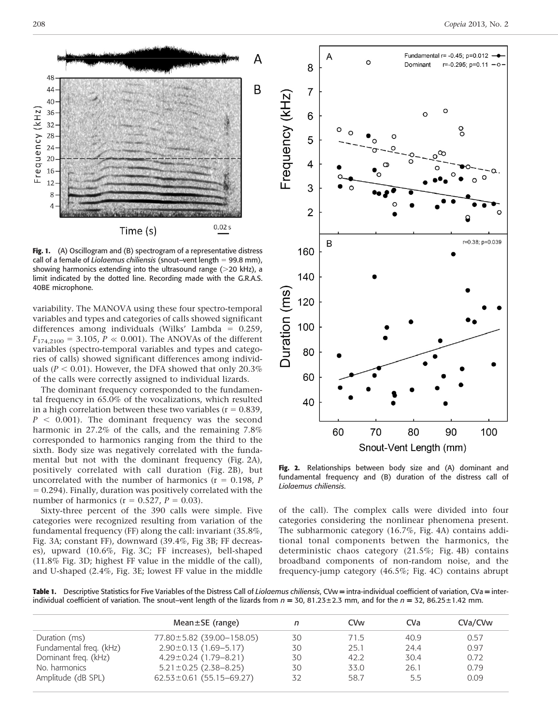

Fig. 1. (A) Oscillogram and (B) spectrogram of a representative distress call of a female of Liolaemus chiliensis (snout–vent length  $= 99.8$  mm), showing harmonics extending into the ultrasound range  $(>20 \text{ kHz})$ , a limit indicated by the dotted line. Recording made with the G.R.A.S. 40BE microphone.

variability. The MANOVA using these four spectro-temporal variables and types and categories of calls showed significant differences among individuals (Wilks' Lambda =  $0.259$ ,  $F_{174,2100} = 3.105, P \ll 0.001$ . The ANOVAs of the different variables (spectro-temporal variables and types and categories of calls) showed significant differences among individuals ( $P < 0.01$ ). However, the DFA showed that only 20.3% of the calls were correctly assigned to individual lizards.

The dominant frequency corresponded to the fundamental frequency in 65.0% of the vocalizations, which resulted in a high correlation between these two variables ( $r = 0.839$ ,  $P < 0.001$ ). The dominant frequency was the second harmonic in 27.2% of the calls, and the remaining 7.8% corresponded to harmonics ranging from the third to the sixth. Body size was negatively correlated with the fundamental but not with the dominant frequency (Fig. 2A), positively correlated with call duration (Fig. 2B), but uncorrelated with the number of harmonics ( $r = 0.198$ , P  $= 0.294$ ). Finally, duration was positively correlated with the number of harmonics ( $r = 0.527$ ,  $P = 0.03$ ).

Sixty-three percent of the 390 calls were simple. Five categories were recognized resulting from variation of the fundamental frequency (FF) along the call: invariant (35.8%, Fig. 3A; constant FF), downward (39.4%, Fig 3B; FF decreases), upward (10.6%, Fig. 3C; FF increases), bell-shaped (11.8% Fig. 3D; highest FF value in the middle of the call), and U-shaped (2.4%, Fig. 3E; lowest FF value in the middle



Fig. 2. Relationships between body size and (A) dominant and fundamental frequency and (B) duration of the distress call of Liolaemus chiliensis.

of the call). The complex calls were divided into four categories considering the nonlinear phenomena present. The subharmonic category (16.7%, Fig. 4A) contains additional tonal components betwen the harmonics, the deterministic chaos category (21.5%; Fig. 4B) contains broadband components of non-random noise, and the frequency-jump category (46.5%; Fig. 4C) contains abrupt

Table 1. Descriptive Statistics for Five Variables of the Distress Call of Liolaemus chiliensis, CVw = intra-individual coefficient of variation, CVa = interindividual coefficient of variation. The snout–vent length of the lizards from  $n = 30$ , 81.23±2.3 mm, and for the  $n = 32$ , 86.25±1.42 mm.

| Mean $\pm$ SE (range)          |    | <b>CV<sub>w</sub></b> | CV <sub>a</sub> | CVa/CV <sub>w</sub> |
|--------------------------------|----|-----------------------|-----------------|---------------------|
| 77.80±5.82 (39.00-158.05)      | 30 | 71.5                  | 40.9            | 0.57                |
| $2.90 \pm 0.13$ (1.69-5.17)    | 30 | 25.1                  | 24.4            | 0.97                |
| $4.29 \pm 0.24$ (1.79-8.21)    | 30 | 42.2                  | 30.4            | 0.72                |
| $5.21 \pm 0.25$ (2.38-8.25)    | 30 | 33.0                  | 26.1            | 0.79                |
| $62.53 \pm 0.61$ (55.15-69.27) | 32 | 58.7                  | 5.5             | 0.09                |
|                                |    |                       |                 |                     |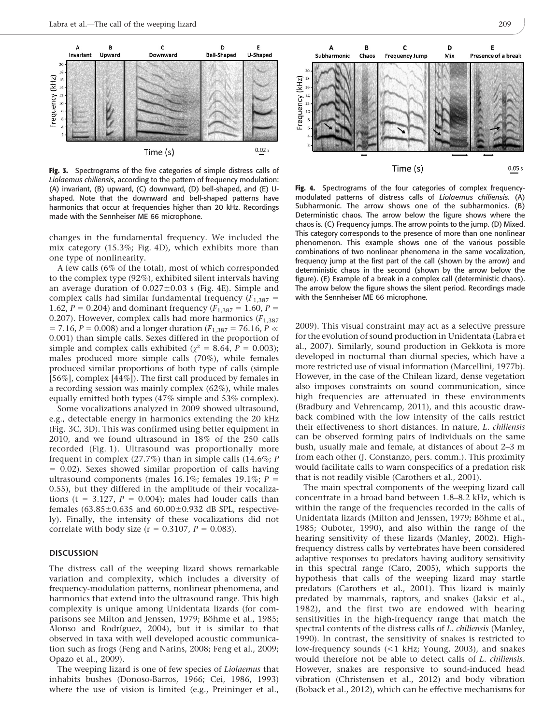

Fig. 3. Spectrograms of the five categories of simple distress calls of Liolaemus chiliensis, according to the pattern of frequency modulation: (A) invariant, (B) upward, (C) downward, (D) bell-shaped, and (E) Ushaped. Note that the downward and bell-shaped patterns have harmonics that occur at frequencies higher than 20 kHz. Recordings made with the Sennheiser ME 66 microphone.

changes in the fundamental frequency. We included the mix category (15.3%; Fig. 4D), which exhibits more than one type of nonlinearity.

A few calls (6% of the total), most of which corresponded to the complex type (92%), exhibited silent intervals having an average duration of  $0.027 \pm 0.03$  s (Fig. 4E). Simple and complex calls had similar fundamental frequency  $(F_{1,387} =$ 1.62,  $P = 0.204$ ) and dominant frequency ( $F_{1,387} = 1.60$ ,  $P =$ 0.207). However, complex calls had more harmonics  $(F_{1,387})$  $= 7.16$ ,  $P = 0.008$ ) and a longer duration ( $F_{1,387} = 76.16$ ,  $P \ll$ 0.001) than simple calls. Sexes differed in the proportion of simple and complex calls exhibited ( $\chi^2 = 8.64$ ,  $P = 0.003$ ); males produced more simple calls (70%), while females produced similar proportions of both type of calls (simple [56%], complex [44%]). The first call produced by females in a recording session was mainly complex (62%), while males equally emitted both types (47% simple and 53% complex).

Some vocalizations analyzed in 2009 showed ultrasound, e.g., detectable energy in harmonics extending the 20 kHz (Fig. 3C, 3D). This was confirmed using better equipment in 2010, and we found ultrasound in 18% of the 250 calls recorded (Fig. 1). Ultrasound was proportionally more frequent in complex  $(27.7%)$  than in simple calls  $(14.6\%; P)$  $= 0.02$ ). Sexes showed similar proportion of calls having ultrasound components (males 16.1%; females 19.1%;  $P =$ 0.55), but they differed in the amplitude of their vocalizations (t = 3.127,  $P = 0.004$ ); males had louder calls than females  $(63.85\pm0.635$  and  $60.00\pm0.932$  dB SPL, respectively). Finally, the intensity of these vocalizations did not correlate with body size ( $r = 0.3107$ ,  $P = 0.083$ ).

## **DISCUSSION**

The distress call of the weeping lizard shows remarkable variation and complexity, which includes a diversity of frequency-modulation patterns, nonlinear phenomena, and harmonics that extend into the ultrasound range. This high complexity is unique among Unidentata lizards (for comparisons see Milton and Jenssen, 1979; Böhme et al., 1985; Alonso and Rodríguez, 2004), but it is similar to that observed in taxa with well developed acoustic communication such as frogs (Feng and Narins, 2008; Feng et al., 2009; Opazo et al., 2009).

The weeping lizard is one of few species of Liolaemus that inhabits bushes (Donoso-Barros, 1966; Cei, 1986, 1993) where the use of vision is limited (e.g., Preininger et al.,



Fig. 4. Spectrograms of the four categories of complex frequencymodulated patterns of distress calls of Liolaemus chiliensis. (A) Subharmonic. The arrow shows one of the subharmonics. (B) Deterministic chaos. The arrow below the figure shows where the chaos is. (C) Frequency jumps. The arrow points to the jump. (D) Mixed. This category corresponds to the presence of more than one nonlinear phenomenon. This example shows one of the various possible combinations of two nonlinear phenomena in the same vocalization, frequency jump at the first part of the call (shown by the arrow) and deterministic chaos in the second (shown by the arrow below the figure). (E) Example of a break in a complex call (deterministic chaos). The arrow below the figure shows the silent period. Recordings made with the Sennheiser ME 66 microphone.

2009). This visual constraint may act as a selective pressure for the evolution of sound production in Unidentata (Labra et al., 2007). Similarly, sound production in Gekkota is more developed in nocturnal than diurnal species, which have a more restricted use of visual information (Marcellini, 1977b). However, in the case of the Chilean lizard, dense vegetation also imposes constraints on sound communication, since high frequencies are attenuated in these environments (Bradbury and Vehrencamp, 2011), and this acoustic drawback combined with the low intensity of the calls restrict their effectiveness to short distances. In nature, L. chiliensis can be observed forming pairs of individuals on the same bush, usually male and female, at distances of about 2–3 m from each other (J. Constanzo, pers. comm.). This proximity would facilitate calls to warn conspecifics of a predation risk that is not readily visible (Carothers et al., 2001).

The main spectral components of the weeping lizard call concentrate in a broad band between 1.8–8.2 kHz, which is within the range of the frequencies recorded in the calls of Unidentata lizards (Milton and Jenssen, 1979; Böhme et al., 1985; Ouboter, 1990), and also within the range of the hearing sensitivity of these lizards (Manley, 2002). Highfrequency distress calls by vertebrates have been considered adaptive responses to predators having auditory sensitivity in this spectral range (Caro, 2005), which supports the hypothesis that calls of the weeping lizard may startle predators (Carothers et al., 2001). This lizard is mainly predated by mammals, raptors, and snakes (Jaksic et al., 1982), and the first two are endowed with hearing sensitivities in the high-frequency range that match the spectral contents of the distress calls of L. chiliensis (Manley, 1990). In contrast, the sensitivity of snakes is restricted to low-frequency sounds  $(<1$  kHz; Young, 2003), and snakes would therefore not be able to detect calls of L. chiliensis. However, snakes are responsive to sound-induced head vibration (Christensen et al., 2012) and body vibration (Boback et al., 2012), which can be effective mechanisms for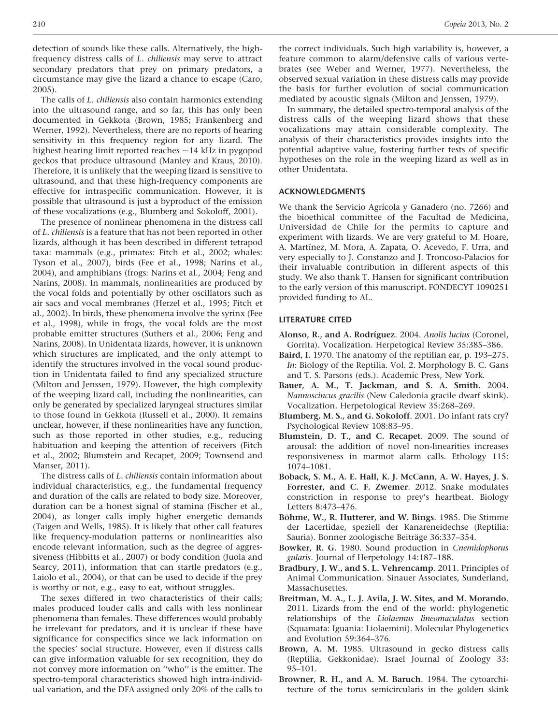detection of sounds like these calls. Alternatively, the highfrequency distress calls of L. chiliensis may serve to attract secondary predators that prey on primary predators, a circumstance may give the lizard a chance to escape (Caro, 2005).

The calls of L. chiliensis also contain harmonics extending into the ultrasound range, and so far, this has only been documented in Gekkota (Brown, 1985; Frankenberg and Werner, 1992). Nevertheless, there are no reports of hearing sensitivity in this frequency region for any lizard. The highest hearing limit reported reaches  $\sim$  14 kHz in pygopod geckos that produce ultrasound (Manley and Kraus, 2010). Therefore, it is unlikely that the weeping lizard is sensitive to ultrasound, and that these high-frequency components are effective for intraspecific communication. However, it is possible that ultrasound is just a byproduct of the emission of these vocalizations (e.g., Blumberg and Sokoloff, 2001).

The presence of nonlinear phenomena in the distress call of L. chiliensis is a feature that has not been reported in other lizards, although it has been described in different tetrapod taxa: mammals (e.g., primates: Fitch et al., 2002; whales: Tyson et al., 2007), birds (Fee et al., 1998; Narins et al., 2004), and amphibians (frogs: Narins et al., 2004; Feng and Narins, 2008). In mammals, nonlinearities are produced by the vocal folds and potentially by other oscillators such as air sacs and vocal membranes (Herzel et al., 1995; Fitch et al., 2002). In birds, these phenomena involve the syrinx (Fee et al., 1998), while in frogs, the vocal folds are the most probable emitter structures (Suthers et al., 2006; Feng and Narins, 2008). In Unidentata lizards, however, it is unknown which structures are implicated, and the only attempt to identify the structures involved in the vocal sound production in Unidentata failed to find any specialized structure (Milton and Jenssen, 1979). However, the high complexity of the weeping lizard call, including the nonlinearities, can only be generated by specialized laryngeal structures similar to those found in Gekkota (Russell et al., 2000). It remains unclear, however, if these nonlinearities have any function, such as those reported in other studies, e.g., reducing habituation and keeping the attention of receivers (Fitch et al., 2002; Blumstein and Recapet, 2009; Townsend and Manser, 2011).

The distress calls of L. chiliensis contain information about individual characteristics, e.g., the fundamental frequency and duration of the calls are related to body size. Moreover, duration can be a honest signal of stamina (Fischer et al., 2004), as longer calls imply higher energetic demands (Taigen and Wells, 1985). It is likely that other call features like frequency-modulation patterns or nonlinearities also encode relevant information, such as the degree of aggressiveness (Hibbitts et al., 2007) or body condition (Juola and Searcy, 2011), information that can startle predators (e.g., Laiolo et al., 2004), or that can be used to decide if the prey is worthy or not, e.g., easy to eat, without struggles.

The sexes differed in two characteristics of their calls; males produced louder calls and calls with less nonlinear phenomena than females. These differences would probably be irrelevant for predators, and it is unclear if these have significance for conspecifics since we lack information on the species' social structure. However, even if distress calls can give information valuable for sex recognition, they do not convey more information on ''who'' is the emitter. The spectro-temporal characteristics showed high intra-individual variation, and the DFA assigned only 20% of the calls to the correct individuals. Such high variability is, however, a feature common to alarm/defensive calls of various vertebrates (see Weber and Werner, 1977). Nevertheless, the observed sexual variation in these distress calls may provide the basis for further evolution of social communication mediated by acoustic signals (Milton and Jenssen, 1979).

In summary, the detailed spectro-temporal analysis of the distress calls of the weeping lizard shows that these vocalizations may attain considerable complexity. The analysis of their characteristics provides insights into the potential adaptive value, fostering further tests of specific hypotheses on the role in the weeping lizard as well as in other Unidentata.

## ACKNOWLEDGMENTS

We thank the Servicio Agrícola y Ganadero (no. 7266) and the bioethical committee of the Facultad de Medicina, Universidad de Chile for the permits to capture and experiment with lizards. We are very grateful to M. Hoare, A. Martínez, M. Mora, A. Zapata, O. Acevedo, F. Urra, and very especially to J. Constanzo and J. Troncoso-Palacios for their invaluable contribution in different aspects of this study. We also thank T. Hansen for significant contribution to the early version of this manuscript. FONDECYT 1090251 provided funding to AL.

## LITERATURE CITED

- Alonso, R., and A. Rodríguez. 2004. Anolis lucius (Coronel, Gorrita). Vocalization. Herpetogical Review 35:385–386.
- Baird, I. 1970. The anatomy of the reptilian ear, p. 193–275. In: Biology of the Reptilia. Vol. 2. Morphology B. C. Gans and T. S. Parsons (eds.). Academic Press, New York.
- Bauer, A. M., T. Jackman, and S. A. Smith. 2004. Nannoscincus gracilis (New Caledonia gracile dwarf skink). Vocalization. Herpetological Review 35:268–269.
- Blumberg, M. S., and G. Sokoloff. 2001. Do infant rats cry? Psychological Review 108:83–95.
- Blumstein, D. T., and C. Recapet. 2009. The sound of arousal: the addition of novel non-linearities increases responsiveness in marmot alarm calls. Ethology 115: 1074–1081.
- Boback, S. M., A. E. Hall, K. J. McCann, A. W. Hayes, J. S. Forrester, and C. F. Zwemer. 2012. Snake modulates constriction in response to prey's heartbeat. Biology Letters 8:473–476.
- Böhme, W., R. Hutterer, and W. Bings. 1985. Die Stimme der Lacertidae, speziell der Kanareneidechse (Reptilia: Sauria). Bonner zoologische Beiträge 36:337-354.
- Bowker, R. G. 1980. Sound production in Cnemidophorus gularis. Journal of Herpetology 14:187–188.
- Bradbury, J. W., and S. L. Vehrencamp. 2011. Principles of Animal Communication. Sinauer Associates, Sunderland, Massachusettes.
- Breitman, M. A., L. J. Avila, J. W. Sites, and M. Morando. 2011. Lizards from the end of the world: phylogenetic relationships of the Liolaemus lineomaculatus section (Squamata: Iguania: Liolaemini). Molecular Phylogenetics and Evolution 59:364–376.
- Brown, A. M. 1985. Ultrasound in gecko distress calls (Reptilia, Gekkonidae). Israel Journal of Zoology 33: 95–101.
- Browner, R. H., and A. M. Baruch. 1984. The cytoarchitecture of the torus semicircularis in the golden skink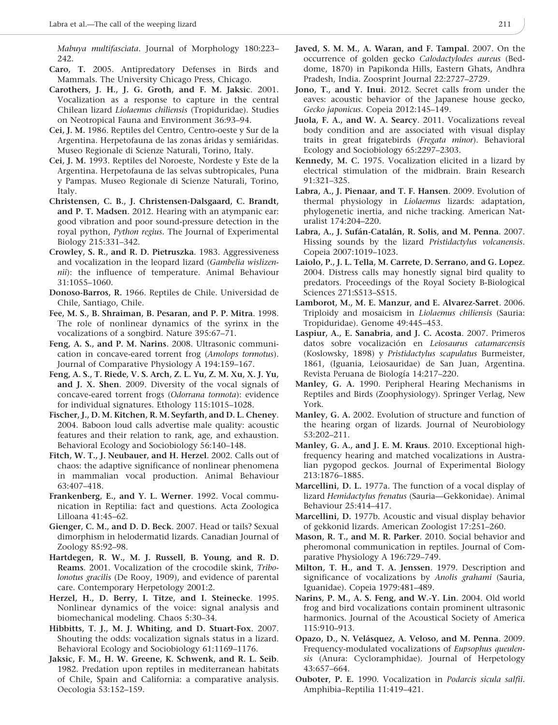Mabuya multifasciata. Journal of Morphology 180:223– 242.

- Caro, T. 2005. Antipredatory Defenses in Birds and Mammals. The University Chicago Press, Chicago.
- Carothers, J. H., J. G. Groth, and F. M. Jaksic. 2001. Vocalization as a response to capture in the central Chilean lizard Liolaemus chiliensis (Tropiduridae). Studies on Neotropical Fauna and Environment 36:93–94.
- Cei, J. M. 1986. Reptiles del Centro, Centro-oeste y Sur de la Argentina. Herpetofauna de las zonas áridas y semiáridas. Museo Regionale di Scienze Naturali, Torino, Italy.
- Cei, J. M. 1993. Reptiles del Noroeste, Nordeste y Este de la Argentina. Herpetofauna de las selvas subtropicales, Puna y Pampas. Museo Regionale di Scienze Naturali, Torino, Italy.
- Christensen, C. B., J. Christensen-Dalsgaard, C. Brandt, and P. T. Madsen. 2012. Hearing with an atympanic ear: good vibration and poor sound-pressure detection in the royal python, Python regius. The Journal of Experimental Biology 215:331–342.
- Crowley, S. R., and R. D. Pietruszka. 1983. Aggressiveness and vocalization in the leopard lizard (Gambelia wislizennii): the influence of temperature. Animal Behaviour 31:1055–1060.
- Donoso-Barros, R. 1966. Reptiles de Chile. Universidad de Chile, Santiago, Chile.
- Fee, M. S., B. Shraiman, B. Pesaran, and P. P. Mitra. 1998. The role of nonlinear dynamics of the syrinx in the vocalizations of a songbird. Nature 395:67–71.
- Feng, A. S., and P. M. Narins. 2008. Ultrasonic communication in concave-eared torrent frog (Amolops tormotus). Journal of Comparative Physiology A 194:159–167.
- Feng, A. S., T. Riede, V. S. Arch, Z. L. Yu, Z. M. Xu, X. J. Yu, and J. X. Shen. 2009. Diversity of the vocal signals of concave-eared torrent frogs (Odorrana tormota): evidence for individual signatures. Ethology 115:1015–1028.
- Fischer, J., D. M. Kitchen, R. M. Seyfarth, and D. L. Cheney. 2004. Baboon loud calls advertise male quality: acoustic features and their relation to rank, age, and exhaustion. Behavioral Ecology and Sociobiology 56:140–148.
- Fitch, W. T., J. Neubauer, and H. Herzel. 2002. Calls out of chaos: the adaptive significance of nonlinear phenomena in mammalian vocal production. Animal Behaviour 63:407–418.
- Frankenberg, E., and Y. L. Werner. 1992. Vocal communication in Reptilia: fact and questions. Acta Zoologica Lilloana 41:45–62.
- Gienger, C. M., and D. D. Beck. 2007. Head or tails? Sexual dimorphism in helodermatid lizards. Canadian Journal of Zoology 85:92–98.
- Hartdegen, R. W., M. J. Russell, B. Young, and R. D. Reams. 2001. Vocalization of the crocodile skink, Tribolonotus gracilis (De Rooy, 1909), and evidence of parental care. Contemporary Herpetology 2001:2.
- Herzel, H., D. Berry, I. Titze, and I. Steinecke. 1995. Nonlinear dynamics of the voice: signal analysis and biomechanical modeling. Chaos 5:30–34.
- Hibbitts, T. J., M. J. Whiting, and D. Stuart-Fox. 2007. Shouting the odds: vocalization signals status in a lizard. Behavioral Ecology and Sociobiology 61:1169–1176.
- Jaksic, F. M., H. W. Greene, K. Schwenk, and R. L. Seib. 1982. Predation upon reptiles in mediterranean habitats of Chile, Spain and California: a comparative analysis. Oecologia 53:152–159.
- Javed, S. M. M., A. Waran, and F. Tampal. 2007. On the occurrence of golden gecko Calodactylodes aureus (Beddome, 1870) in Papikonda Hills, Eastern Ghats, Andhra Pradesh, India. Zoosprint Journal 22:2727–2729.
- Jono, T., and Y. Inui. 2012. Secret calls from under the eaves: acoustic behavior of the Japanese house gecko, Gecko japonicus. Copeia 2012:145–149.
- Juola, F. A., and W. A. Searcy. 2011. Vocalizations reveal body condition and are associated with visual display traits in great frigatebirds (Fregata minor). Behavioral Ecology and Sociobiology 65:2297–2303.
- Kennedy, M. C. 1975. Vocalization elicited in a lizard by electrical stimulation of the midbrain. Brain Research 91:321–325.
- Labra, A., J. Pienaar, and T. F. Hansen. 2009. Evolution of thermal physiology in Liolaemus lizards: adaptation, phylogenetic inertia, and niche tracking. American Naturalist 174:204–220.
- Labra, A., J. Sufán-Catalán, R. Solis, and M. Penna. 2007. Hissing sounds by the lizard Pristidactylus volcanensis. Copeia 2007:1019–1023.
- Laiolo, P., J. L. Tella, M. Carrete, D. Serrano, and G. Lopez. 2004. Distress calls may honestly signal bird quality to predators. Proceedings of the Royal Society B-Biological Sciences 271:S513–S515.
- Lamborot, M., M. E. Manzur, and E. Alvarez-Sarret. 2006. Triploidy and mosaicism in Liolaemus chiliensis (Sauria: Tropiduridae). Genome 49:445–453.
- Laspiur, A., E. Sanabria, and J. C. Acosta. 2007. Primeros datos sobre vocalización en Leiosaurus catamarcensis (Koslowsky, 1898) y Pristidactylus scapulatus Burmeister, 1861, (Iguania, Leiosauridae) de San Juan, Argentina. Revista Peruana de Biología 14:217–220.
- Manley, G. A. 1990. Peripheral Hearing Mechanisms in Reptiles and Birds (Zoophysiology). Springer Verlag, New York.
- Manley, G. A. 2002. Evolution of structure and function of the hearing organ of lizards. Journal of Neurobiology 53:202–211.
- Manley, G. A., and J. E. M. Kraus. 2010. Exceptional highfrequency hearing and matched vocalizations in Australian pygopod geckos. Journal of Experimental Biology 213:1876–1885.
- Marcellini, D. L. 1977a. The function of a vocal display of lizard Hemidactylus frenatus (Sauria—Gekkonidae). Animal Behaviour 25:414–417.
- Marcellini, D. 1977b. Acoustic and visual display behavior of gekkonid lizards. American Zoologist 17:251–260.
- Mason, R. T., and M. R. Parker. 2010. Social behavior and pheromonal communication in reptiles. Journal of Comparative Physiology A 196:729–749.
- Milton, T. H., and T. A. Jenssen. 1979. Description and significance of vocalizations by Anolis grahami (Sauria, Iguanidae). Copeia 1979:481–489.
- Narins, P. M., A. S. Feng, and W.-Y. Lin. 2004. Old world frog and bird vocalizations contain prominent ultrasonic harmonics. Journal of the Acoustical Society of America 115:910–913.
- Opazo, D., N. Velásquez, A. Veloso, and M. Penna. 2009. Frequency-modulated vocalizations of Eupsophus queulensis (Anura: Cycloramphidae). Journal of Herpetology 43:657–664.
- Ouboter, P. E. 1990. Vocalization in Podarcis sicula salfii. Amphibia–Reptilia 11:419–421.